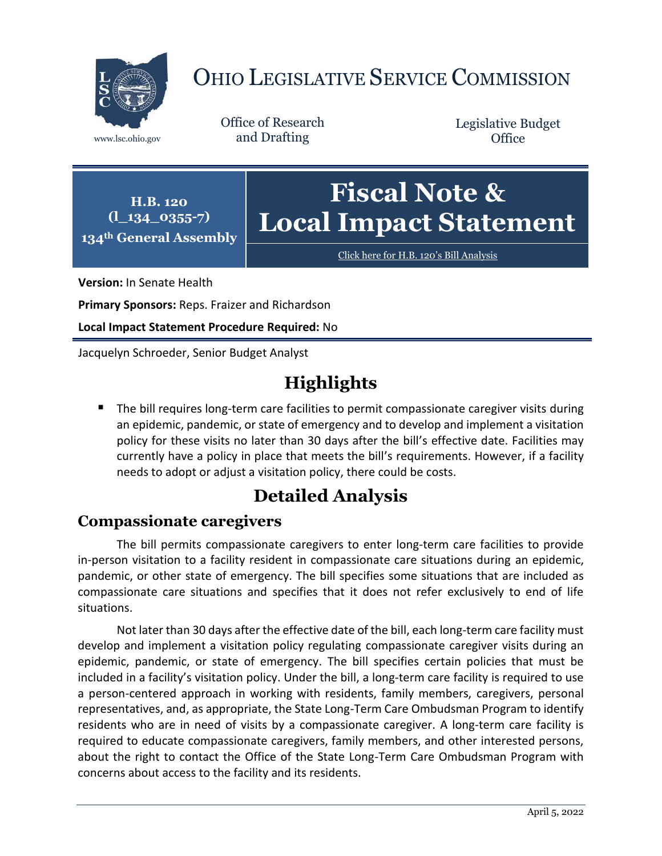

# OHIO LEGISLATIVE SERVICE COMMISSION

Office of Research www.lsc.ohio.gov and Drafting

Legislative Budget **Office** 



[Click here for H.B. 120](https://www.legislature.ohio.gov/legislation/legislation-documents?id=GA134-HB-120)'s Bill Analysis

**Version:** In Senate Health

**Primary Sponsors:** Reps. Fraizer and Richardson

**Local Impact Statement Procedure Required:** No

Jacquelyn Schroeder, Senior Budget Analyst

## **Highlights**

 The bill requires long-term care facilities to permit compassionate caregiver visits during an epidemic, pandemic, or state of emergency and to develop and implement a visitation policy for these visits no later than 30 days after the bill's effective date. Facilities may currently have a policy in place that meets the bill's requirements. However, if a facility needs to adopt or adjust a visitation policy, there could be costs.

## **Detailed Analysis**

### **Compassionate caregivers**

The bill permits compassionate caregivers to enter long-term care facilities to provide in-person visitation to a facility resident in compassionate care situations during an epidemic, pandemic, or other state of emergency. The bill specifies some situations that are included as compassionate care situations and specifies that it does not refer exclusively to end of life situations.

Not later than 30 days after the effective date of the bill, each long-term care facility must develop and implement a visitation policy regulating compassionate caregiver visits during an epidemic, pandemic, or state of emergency. The bill specifies certain policies that must be included in a facility's visitation policy. Under the bill, a long-term care facility is required to use a person-centered approach in working with residents, family members, caregivers, personal representatives, and, as appropriate, the State Long-Term Care Ombudsman Program to identify residents who are in need of visits by a compassionate caregiver. A long-term care facility is required to educate compassionate caregivers, family members, and other interested persons, about the right to contact the Office of the State Long-Term Care Ombudsman Program with concerns about access to the facility and its residents.